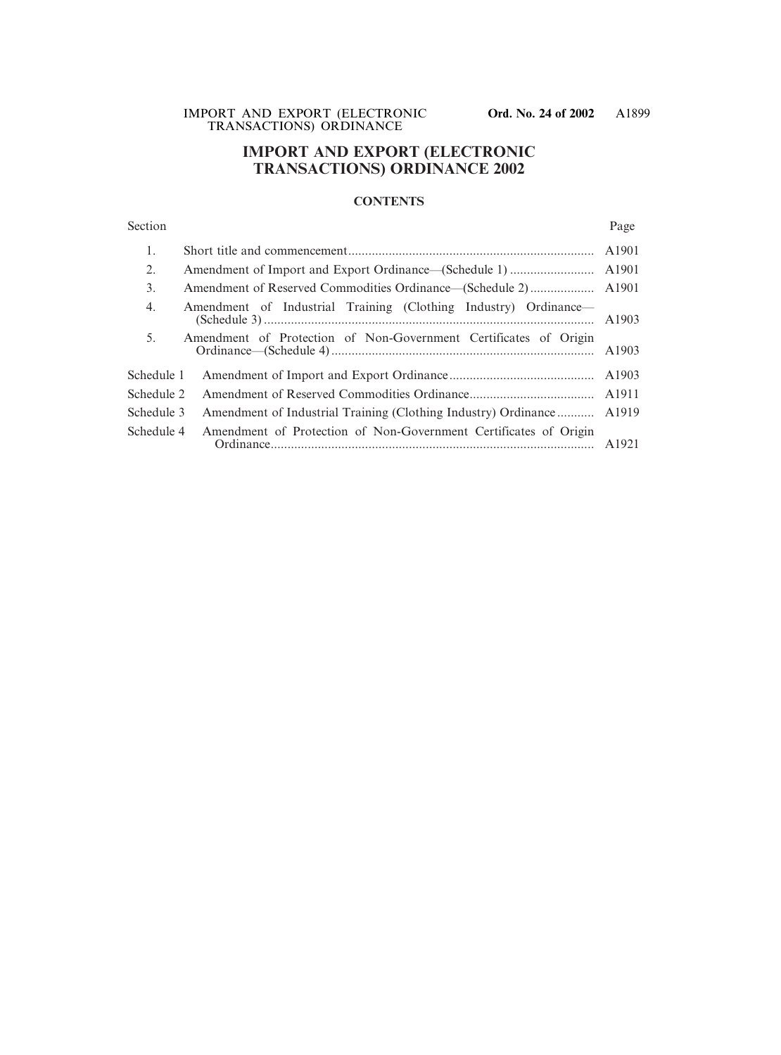# **IMPORT AND EXPORT (ELECTRONIC TRANSACTIONS) ORDINANCE 2002**

# **CONTENTS**

# Section Page

| 1.         |                                                                      |  |
|------------|----------------------------------------------------------------------|--|
| 2.         |                                                                      |  |
| 3.         |                                                                      |  |
| 4.         | Amendment of Industrial Training (Clothing Industry) Ordinance—      |  |
| 5.         | Amendment of Protection of Non-Government Certificates of Origin     |  |
| Schedule 1 |                                                                      |  |
| Schedule 2 |                                                                      |  |
| Schedule 3 | Amendment of Industrial Training (Clothing Industry) Ordinance A1919 |  |
| Schedule 4 | Amendment of Protection of Non-Government Certificates of Origin     |  |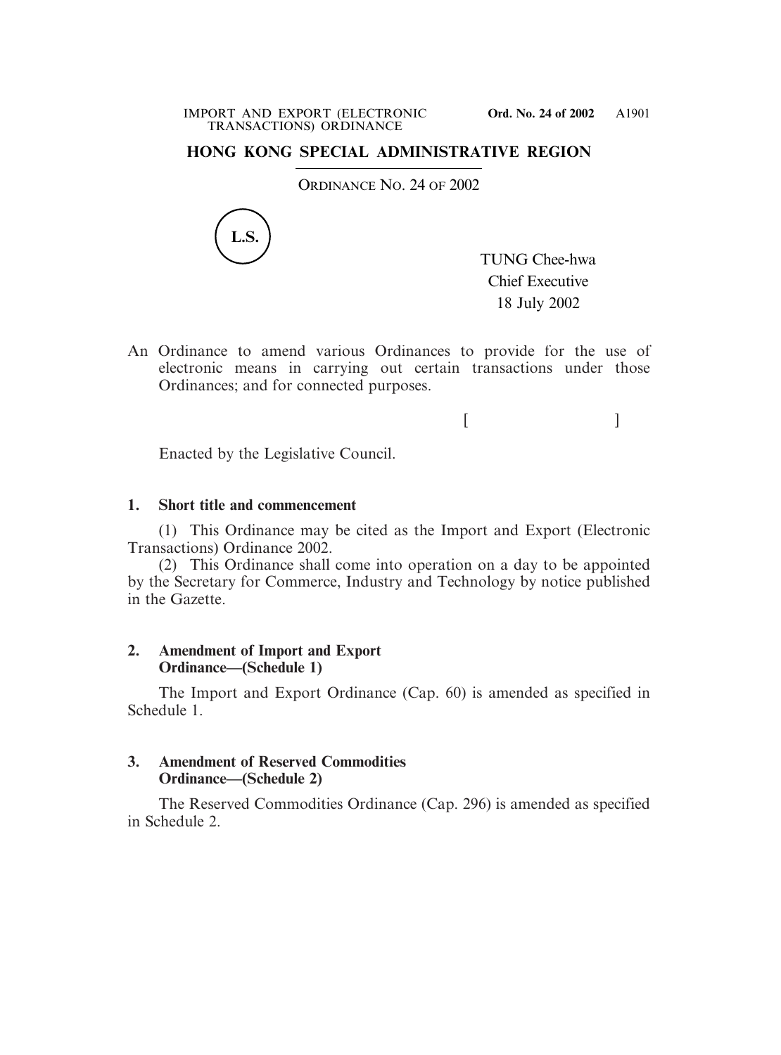# **HONG KONG SPECIAL ADMINISTRATIVE REGION**

ORDINANCE NO. 24 OF 2002



TUNG Chee-hwa Chief Executive 18 July 2002

 $[$   $]$ 

An Ordinance to amend various Ordinances to provide for the use of electronic means in carrying out certain transactions under those Ordinances; and for connected purposes.

Enacted by the Legislative Council.

# **1. Short title and commencement**

(1) This Ordinance may be cited as the Import and Export (Electronic Transactions) Ordinance 2002.

(2) This Ordinance shall come into operation on a day to be appointed by the Secretary for Commerce, Industry and Technology by notice published in the Gazette.

# **2. Amendment of Import and Export Ordinance—(Schedule 1)**

The Import and Export Ordinance (Cap. 60) is amended as specified in Schedule 1.

# **3. Amendment of Reserved Commodities Ordinance—(Schedule 2)**

The Reserved Commodities Ordinance (Cap. 296) is amended as specified in Schedule 2.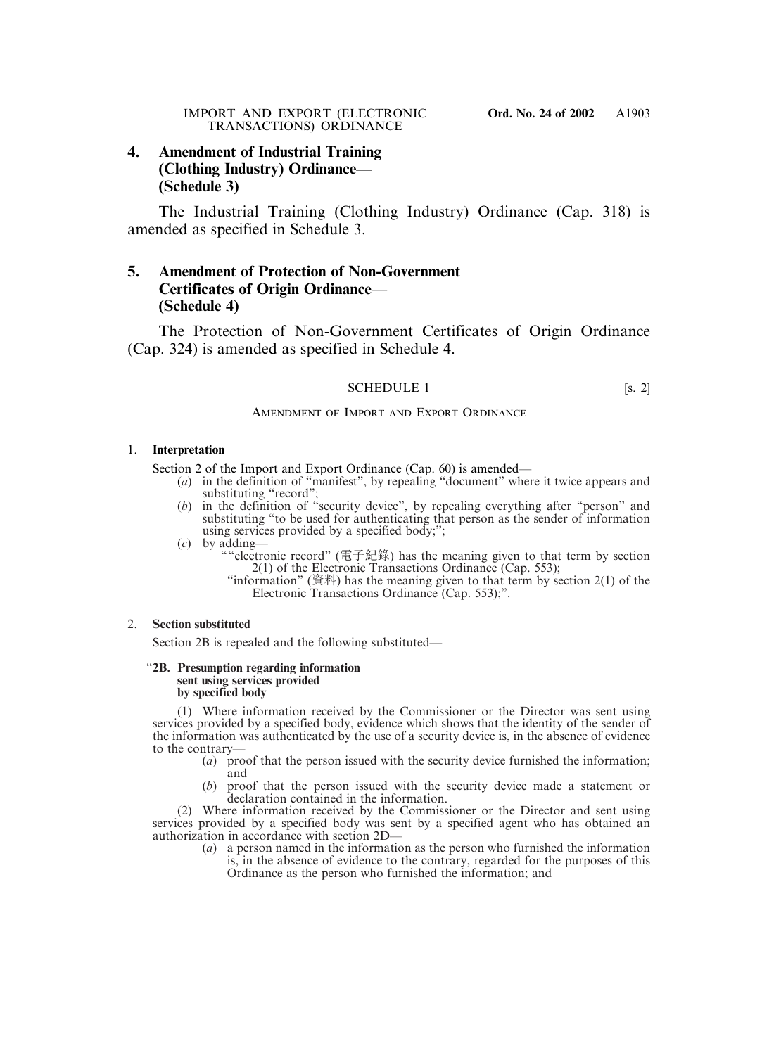# **4. Amendment of Industrial Training (Clothing Industry) Ordinance— (Schedule 3)**

The Industrial Training (Clothing Industry) Ordinance (Cap. 318) is amended as specified in Schedule 3.

# **5. Amendment of Protection of Non-Government Certificates of Origin Ordinance**— **(Schedule 4)**

The Protection of Non-Government Certificates of Origin Ordinance (Cap. 324) is amended as specified in Schedule 4.

# SCHEDULE 1 [s. 2]

# AMENDMENT OF IMPORT AND EXPORT ORDINANCE

## 1. **Interpretation**

Section 2 of the Import and Export Ordinance (Cap. 60) is amended—

- (*a*) in the definition of "manifest", by repealing "document" where it twice appears and substituting "record";
- (*b*) in the definition of "security device", by repealing everything after "person" and substituting "to be used for authenticating that person as the sender of information using services provided by a specified body;";
- (*c*) by adding—
	- ""electronic record" (電子紀錄) has the meaning given to that term by section 2(1) of the Electronic Transactions Ordinance (Cap. 553);
		- "information" (資料) has the meaning given to that term by section 2(1) of the Electronic Transactions Ordinance (Cap. 553);".

# 2. **Section substituted**

Section 2B is repealed and the following substituted—

### "**2B. Presumption regarding information sent using services provided by specified body**

(1) Where information received by the Commissioner or the Director was sent using services provided by a specified body, evidence which shows that the identity of the sender of the information was authenticated by the use of a security device is, in the absence of evidence to the contrary—

- (*a*) proof that the person issued with the security device furnished the information; and
- (*b*) proof that the person issued with the security device made a statement or declaration contained in the information.

(2) Where information received by the Commissioner or the Director and sent using services provided by a specified body was sent by a specified agent who has obtained an authorization in accordance with section 2D—

(*a*) a person named in the information as the person who furnished the information is, in the absence of evidence to the contrary, regarded for the purposes of this Ordinance as the person who furnished the information; and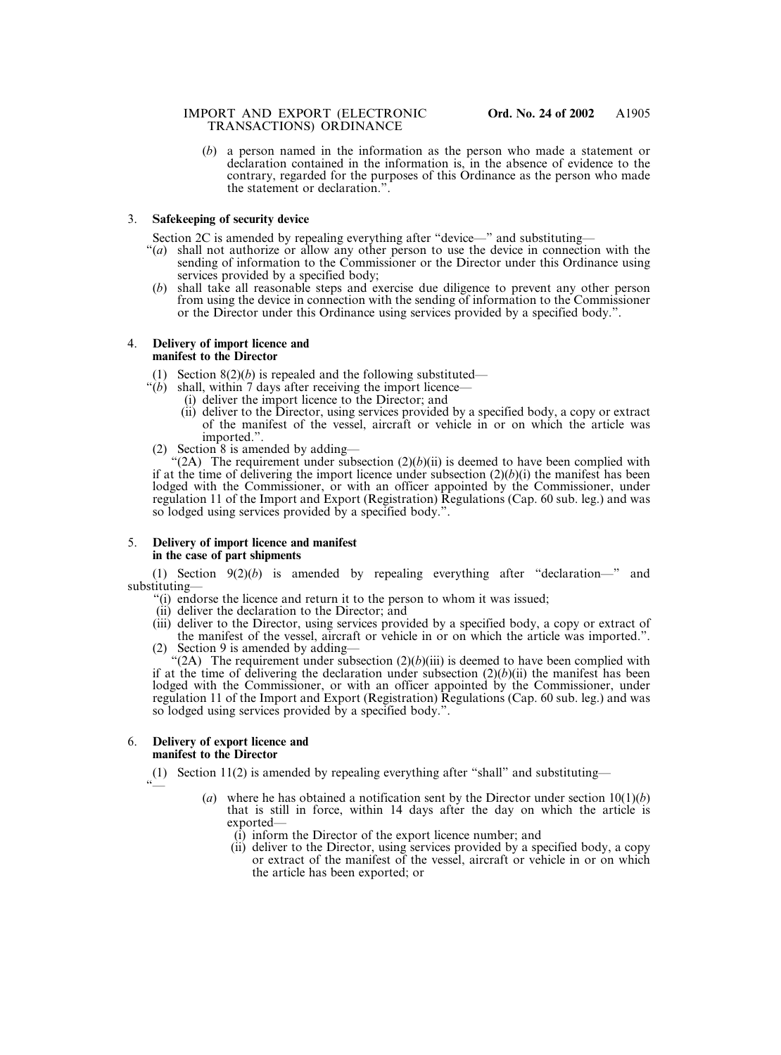# IMPORT AND EXPORT (ELECTRONIC **Ord. No. 24 of 2002** TRANSACTIONS) ORDINANCE

(*b*) a person named in the information as the person who made a statement or declaration contained in the information is, in the absence of evidence to the contrary, regarded for the purposes of this Ordinance as the person who made the statement or declaration.".

# 3. **Safekeeping of security device**

Section 2C is amended by repealing everything after "device—" and substituting—

- "(*a*) shall not authorize or allow any other person to use the device in connection with the sending of information to the Commissioner or the Director under this Ordinance using services provided by a specified body;
- (*b*) shall take all reasonable steps and exercise due diligence to prevent any other person from using the device in connection with the sending of information to the Commissioner or the Director under this Ordinance using services provided by a specified body.".

### 4. **Delivery of import licence and manifest to the Director**

- (1) Section  $8(2)(b)$  is repealed and the following substituted—
- " $(b)$  shall, within  $\overline{7}$  days after receiving the import licence-
	- (i) deliver the import licence to the Director; and
	- (ii) deliver to the Director, using services provided by a specified body, a copy or extract of the manifest of the vessel, aircraft or vehicle in or on which the article was imported.".
- (2) Section 8 is amended by adding—

"(2A) The requirement under subsection  $(2)(b)(ii)$  is deemed to have been complied with if at the time of delivering the import licence under subsection  $(2)(b)(i)$  the manifest has been lodged with the Commissioner, or with an officer appointed by the Commissioner, under regulation 11 of the Import and Export (Registration) Regulations (Cap. 60 sub. leg.) and was so lodged using services provided by a specified body.".

# 5. **Delivery of import licence and manifest in the case of part shipments**

(1) Section 9(2)(*b*) is amended by repealing everything after "declaration—" and substituting—

- "(i) endorse the licence and return it to the person to whom it was issued;
- (ii) deliver the declaration to the Director; and
- (iii) deliver to the Director, using services provided by a specified body, a copy or extract of the manifest of the vessel, aircraft or vehicle in or on which the article was imported.". (2) Section 9 is amended by adding—

" $(2A)$  The requirement under subsection  $(2)(b)(iii)$  is deemed to have been complied with if at the time of delivering the declaration under subsection  $(2)(b)(ii)$  the manifest has been lodged with the Commissioner, or with an officer appointed by the Commissioner, under regulation 11 of the Import and Export (Registration) Regulations (Cap. 60 sub. leg.) and was so lodged using services provided by a specified body.".

### 6. **Delivery of export licence and manifest to the Director**

 $\tilde{\ }$ 

(1) Section 11(2) is amended by repealing everything after "shall" and substituting—

- (*a*) where he has obtained a notification sent by the Director under section 10(1)(*b*) that is still in force, within 14 days after the day on which the article is exported—
	- (i) inform the Director of the export licence number; and
	- (ii) deliver to the Director, using services provided by a specified body, a copy or extract of the manifest of the vessel, aircraft or vehicle in or on which the article has been exported; or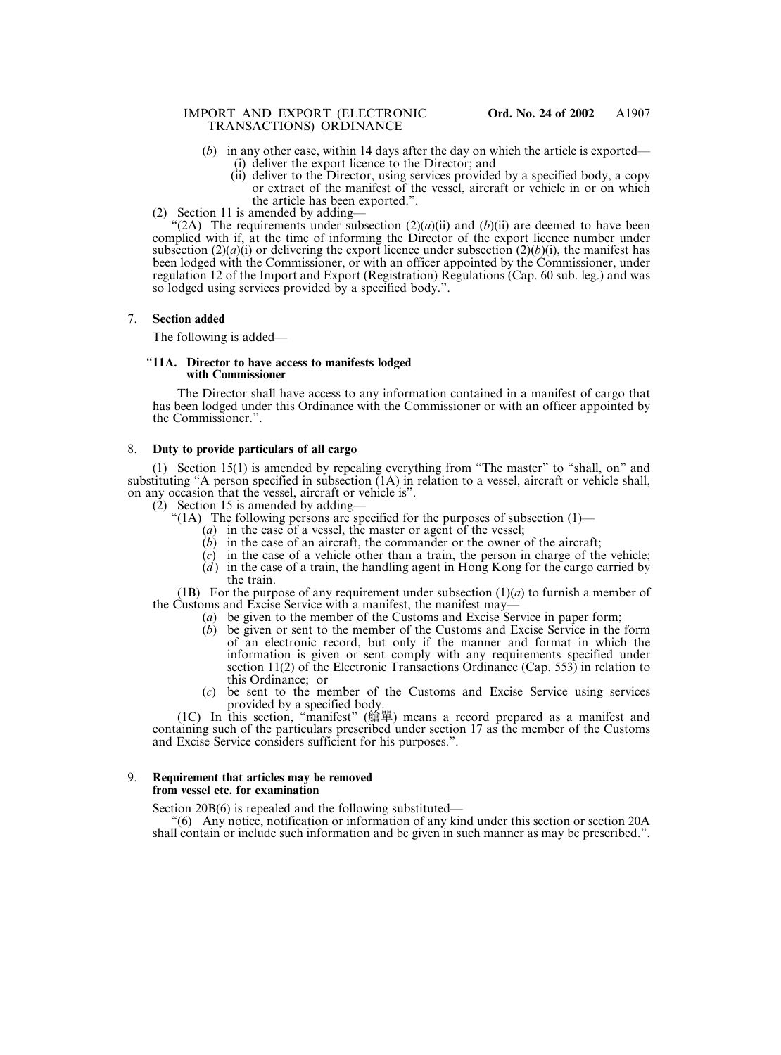## IMPORT AND EXPORT (ELECTRONIC **Ord. No. 24 of 2002** TRANSACTIONS) ORDINANCE

- (*b*) in any other case, within 14 days after the day on which the article is exported—
	- (i) deliver the export licence to the Director; and
	- (ii) deliver to the Director, using services provided by a specified body, a copy or extract of the manifest of the vessel, aircraft or vehicle in or on which the article has been exported.".
- (2) Section 11 is amended by adding—

"(2A) The requirements under subsection  $(2)(a)(ii)$  and  $(b)(ii)$  are deemed to have been complied with if, at the time of informing the Director of the export licence number under subsection  $(2)(a)(i)$  or delivering the export licence under subsection  $(2)(b)(i)$ , the manifest has been lodged with the Commissioner, or with an officer appointed by the Commissioner, under regulation 12 of the Import and Export (Registration) Regulations (Cap. 60 sub. leg.) and was so lodged using services provided by a specified body.".

## 7. **Section added**

The following is added—

### "**11A. Director to have access to manifests lodged with Commissioner**

The Director shall have access to any information contained in a manifest of cargo that has been lodged under this Ordinance with the Commissioner or with an officer appointed by the Commissioner.".

## 8. **Duty to provide particulars of all cargo**

(1) Section 15(1) is amended by repealing everything from "The master" to "shall, on" and substituting "A person specified in subsection (1A) in relation to a vessel, aircraft or vehicle shall, on any occasion that the vessel, aircraft or vehicle is".

(2) Section 15 is amended by adding—

- "(1A) The following persons are specified for the purposes of subsection  $(1)$ 
	- (*a*) in the case of a vessel, the master or agent of the vessel;
	- (*b*) in the case of an aircraft, the commander or the owner of the aircraft;
	- (*c*) in the case of a vehicle other than a train, the person in charge of the vehicle;
	- (*d* ) in the case of a train, the handling agent in Hong Kong for the cargo carried by the train.

(1B) For the purpose of any requirement under subsection  $(1)(a)$  to furnish a member of the Customs and Excise Service with a manifest, the manifest may—

- (*a*) be given to the member of the Customs and Excise Service in paper form;
- (*b*) be given or sent to the member of the Customs and Excise Service in the form of an electronic record, but only if the manner and format in which the information is given or sent comply with any requirements specified under section 11(2) of the Electronic Transactions Ordinance (Cap. 553) in relation to this Ordinance; or
- (*c*) be sent to the member of the Customs and Excise Service using services provided by a specified body.

(1C) In this section, "manifest" (艙單) means a record prepared as a manifest and containing such of the particulars prescribed under section 17 as the member of the Customs and Excise Service considers sufficient for his purposes.".

## 9. **Requirement that articles may be removed from vessel etc. for examination**

Section 20B(6) is repealed and the following substituted—

"(6) Any notice, notification or information of any kind under this section or section 20A shall contain or include such information and be given in such manner as may be prescribed.".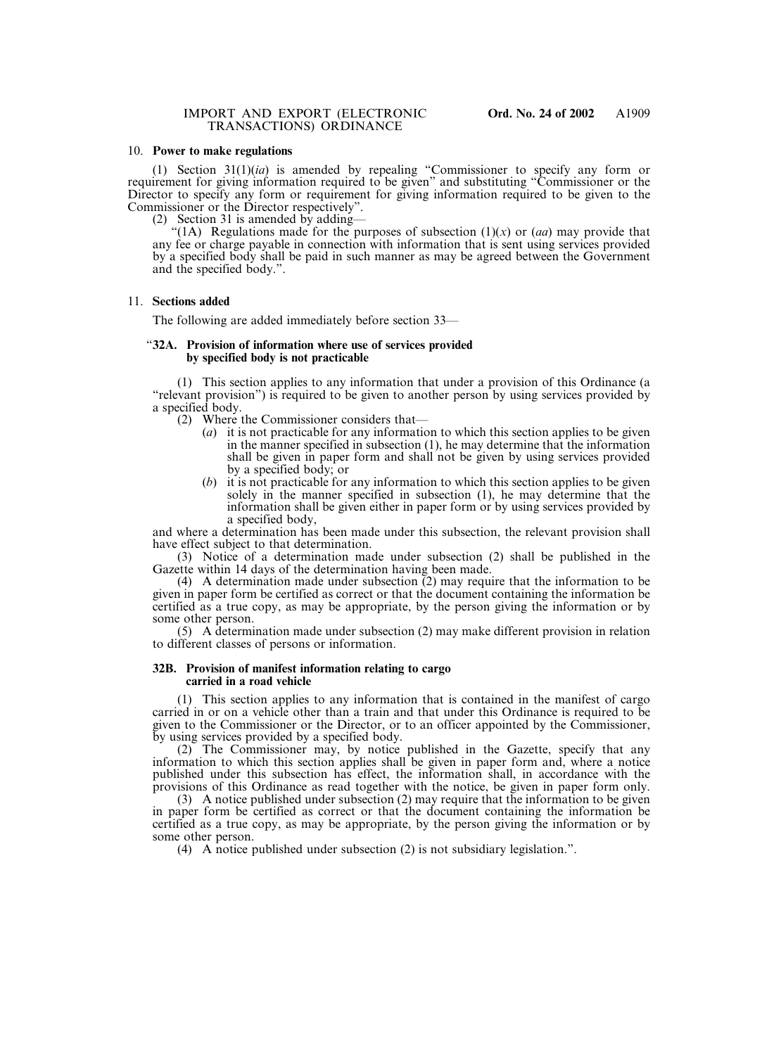#### 10. **Power to make regulations**

(1) Section 31(1)(*ia*) is amended by repealing "Commissioner to specify any form or requirement for giving information required to be given" and substituting "Commissioner or the Director to specify any form or requirement for giving information required to be given to the Commissioner or the Director respectively".

(2) Section 31 is amended by adding—

"(1A) Regulations made for the purposes of subsection  $(1)(x)$  or  $(aa)$  may provide that any fee or charge payable in connection with information that is sent using services provided by a specified body shall be paid in such manner as may be agreed between the Government and the specified body.".

### 11. **Sections added**

The following are added immediately before section 33—

#### "**32A. Provision of information where use of services provided by specified body is not practicable**

(1) This section applies to any information that under a provision of this Ordinance (a "relevant provision") is required to be given to another person by using services provided by a specified body.

- (2) Where the Commissioner considers that—
	- (*a*) it is not practicable for any information to which this section applies to be given in the manner specified in subsection (1), he may determine that the information shall be given in paper form and shall not be given by using services provided by a specified body; or
	- (*b*) it is not practicable for any information to which this section applies to be given solely in the manner specified in subsection (1), he may determine that the information shall be given either in paper form or by using services provided by a specified body,

and where a determination has been made under this subsection, the relevant provision shall have effect subject to that determination.

(3) Notice of a determination made under subsection (2) shall be published in the Gazette within 14 days of the determination having been made.

(4) A determination made under subsection (2) may require that the information to be given in paper form be certified as correct or that the document containing the information be certified as a true copy, as may be appropriate, by the person giving the information or by some other person.

(5) A determination made under subsection (2) may make different provision in relation to different classes of persons or information.

#### **32B. Provision of manifest information relating to cargo carried in a road vehicle**

(1) This section applies to any information that is contained in the manifest of cargo carried in or on a vehicle other than a train and that under this Ordinance is required to be given to the Commissioner or the Director, or to an officer appointed by the Commissioner, by using services provided by a specified body.

(2) The Commissioner may, by notice published in the Gazette, specify that any information to which this section applies shall be given in paper form and, where a notice published under this subsection has effect, the information shall, in accordance with the provisions of this Ordinance as read together with the notice, be given in paper form only.

(3) A notice published under subsection (2) may require that the information to be given in paper form be certified as correct or that the document containing the information be certified as a true copy, as may be appropriate, by the person giving the information or by some other person.

(4) A notice published under subsection (2) is not subsidiary legislation.".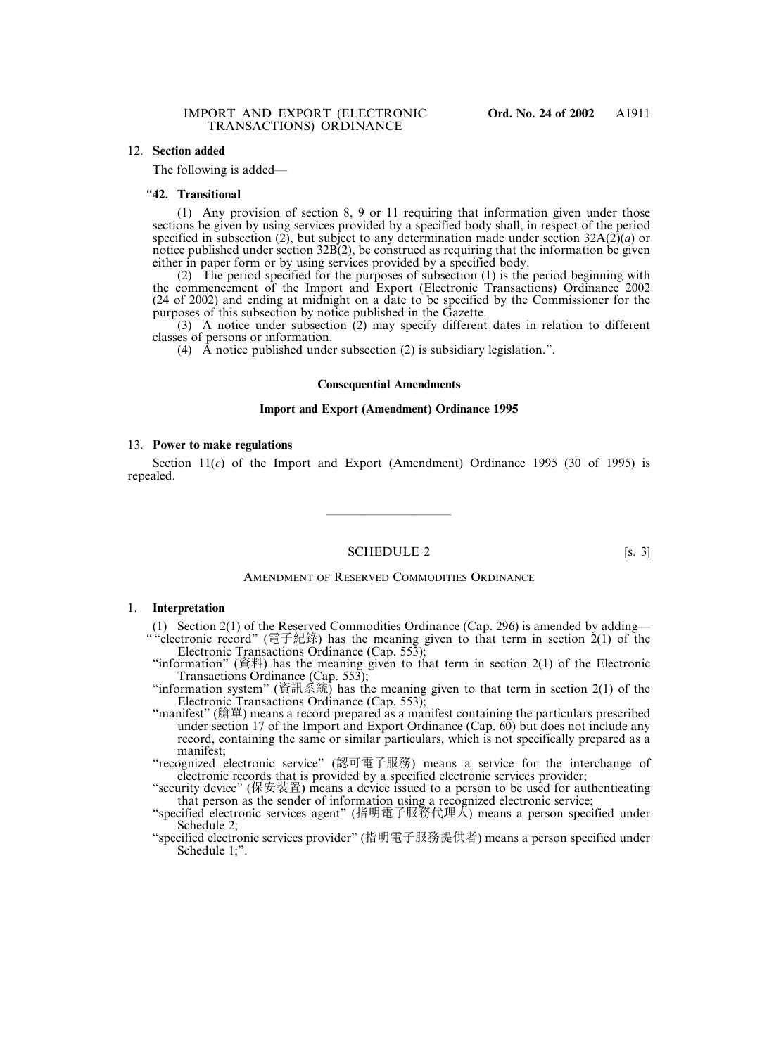# 12. **Section added**

The following is added—

#### "**42. Transitional**

(1) Any provision of section 8, 9 or 11 requiring that information given under those sections be given by using services provided by a specified body shall, in respect of the period specified in subsection  $(2)$ , but subject to any determination made under section  $32A(2)(a)$  or notice published under section 32B(2), be construed as requiring that the information be given either in paper form or by using services provided by a specified body.

(2) The period specified for the purposes of subsection (1) is the period beginning with the commencement of the Import and Export (Electronic Transactions) Ordinance 2002 (24 of 2002) and ending at midnight on a date to be specified by the Commissioner for the purposes of this subsection by notice published in the Gazette.

(3) A notice under subsection (2) may specify different dates in relation to different classes of persons or information.

(4) A notice published under subsection (2) is subsidiary legislation.".

#### **Consequential Amendments**

#### **Import and Export (Amendment) Ordinance 1995**

### 13. **Power to make regulations**

Section  $11(c)$  of the Import and Export (Amendment) Ordinance 1995 (30 of 1995) is repealed.

SCHEDULE 2 [s. 3]

——————————

#### AMENDMENT OF RESERVED COMMODITIES ORDINANCE

# 1. **Interpretation**

- (1) Section 2(1) of the Reserved Commodities Ordinance (Cap. 296) is amended by adding— " "electronic record" (電子紀錄) has the meaning given to that term in section 2(1) of the Electronic Transactions Ordinance (Cap. 553);
- "information" (資料) has the meaning given to that term in section 2(1) of the Electronic Transactions Ordinance (Cap. 553);
- "information system" (資訊系統) has the meaning given to that term in section 2(1) of the Electronic Transactions Ordinance (Cap. 553);
- "manifest" (艙單) means a record prepared as a manifest containing the particulars prescribed under section 17 of the Import and Export Ordinance (Cap. 60) but does not include any record, containing the same or similar particulars, which is not specifically prepared as a manifest;
- "recognized electronic service" (認可電子服務) means a service for the interchange of electronic records that is provided by a specified electronic services provider;
- "security device" (保安裝置) means a device issued to a person to be used for authenticating that person as the sender of information using a recognized electronic service;
- "specified electronic services agent" (指明電子服務代理人) means a person specified under Schedule 2;
- "specified electronic services provider" (指明電子服務提供者) means a person specified under Schedule 1;".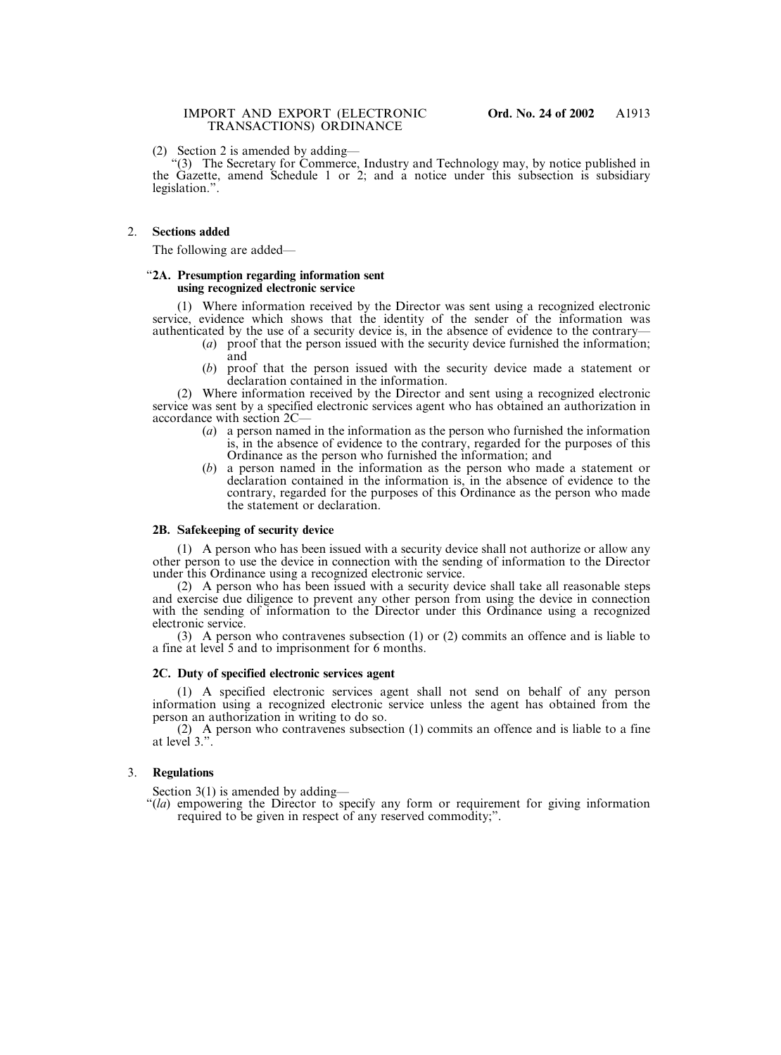(2) Section 2 is amended by adding—

"(3) The Secretary for Commerce, Industry and Technology may, by notice published in the Gazette, amend Schedule 1 or 2; and a notice under this subsection is subsidiary legislation.".

# 2. **Sections added**

The following are added—

### "**2A. Presumption regarding information sent using recognized electronic service**

(1) Where information received by the Director was sent using a recognized electronic service, evidence which shows that the identity of the sender of the information was authenticated by the use of a security device is, in the absence of evidence to the contrary—

- (*a*) proof that the person issued with the security device furnished the information; and
- (*b*) proof that the person issued with the security device made a statement or declaration contained in the information.

(2) Where information received by the Director and sent using a recognized electronic service was sent by a specified electronic services agent who has obtained an authorization in accordance with section 2C—

- (*a*) a person named in the information as the person who furnished the information is, in the absence of evidence to the contrary, regarded for the purposes of this Ordinance as the person who furnished the information; and
- (*b*) a person named in the information as the person who made a statement or declaration contained in the information is, in the absence of evidence to the contrary, regarded for the purposes of this Ordinance as the person who made the statement or declaration.

# **2B. Safekeeping of security device**

(1) A person who has been issued with a security device shall not authorize or allow any other person to use the device in connection with the sending of information to the Director under this Ordinance using a recognized electronic service.

(2) A person who has been issued with a security device shall take all reasonable steps and exercise due diligence to prevent any other person from using the device in connection with the sending of information to the Director under this Ordinance using a recognized electronic service.

(3) A person who contravenes subsection (1) or (2) commits an offence and is liable to a fine at level 5 and to imprisonment for 6 months.

# **2C. Duty of specified electronic services agent**

(1) A specified electronic services agent shall not send on behalf of any person information using a recognized electronic service unless the agent has obtained from the person an authorization in writing to do so.

(2) A person who contravenes subsection (1) commits an offence and is liable to a fine at level 3.".

# 3. **Regulations**

Section 3(1) is amended by adding—

"(*la*) empowering the Director to specify any form or requirement for giving information required to be given in respect of any reserved commodity;".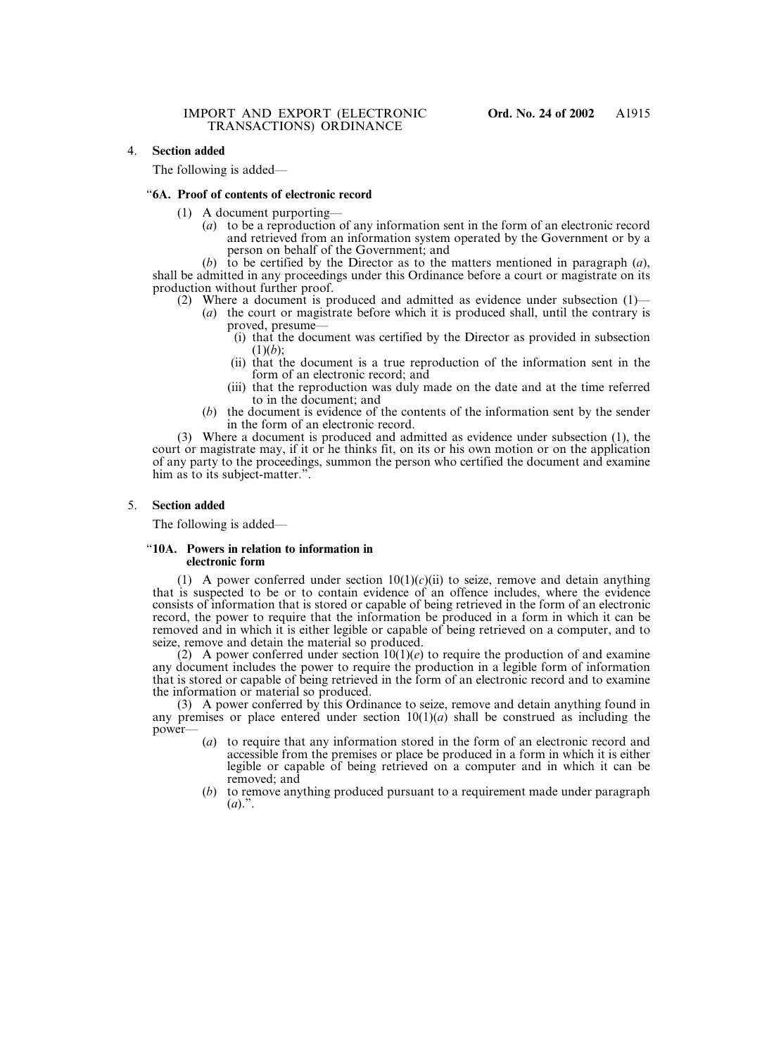The following is added—

### "**6A. Proof of contents of electronic record**

- (1) A document purporting—
	- (*a*) to be a reproduction of any information sent in the form of an electronic record and retrieved from an information system operated by the Government or by a person on behalf of the Government; and

(*b*) to be certified by the Director as to the matters mentioned in paragraph (*a*), shall be admitted in any proceedings under this Ordinance before a court or magistrate on its production without further proof.

- (2) Where a document is produced and admitted as evidence under subsection (1)—
	- (*a*) the court or magistrate before which it is produced shall, until the contrary is proved, presume—
		- (i) that the document was certified by the Director as provided in subsection (1)(*b*);
		- (ii) that the document is a true reproduction of the information sent in the form of an electronic record; and
		- (iii) that the reproduction was duly made on the date and at the time referred to in the document; and
	- (*b*) the document is evidence of the contents of the information sent by the sender in the form of an electronic record.

(3) Where a document is produced and admitted as evidence under subsection (1), the court or magistrate may, if it or he thinks fit, on its or his own motion or on the application of any party to the proceedings, summon the person who certified the document and examine him as to its subject-matter.".

### 5. **Section added**

The following is added—

#### "**10A. Powers in relation to information in electronic form**

(1) A power conferred under section  $10(1)(c)(ii)$  to seize, remove and detain anything that is suspected to be or to contain evidence of an offence includes, where the evidence consists of information that is stored or capable of being retrieved in the form of an electronic record, the power to require that the information be produced in a form in which it can be removed and in which it is either legible or capable of being retrieved on a computer, and to seize, remove and detain the material so produced.

(2) A power conferred under section  $10(1)(e)$  to require the production of and examine any document includes the power to require the production in a legible form of information that is stored or capable of being retrieved in the form of an electronic record and to examine the information or material so produced.

(3) A power conferred by this Ordinance to seize, remove and detain anything found in any premises or place entered under section  $10(1)(a)$  shall be construed as including the power—

- (*a*) to require that any information stored in the form of an electronic record and accessible from the premises or place be produced in a form in which it is either legible or capable of being retrieved on a computer and in which it can be removed; and
- (*b*) to remove anything produced pursuant to a requirement made under paragraph  $(a)$ .".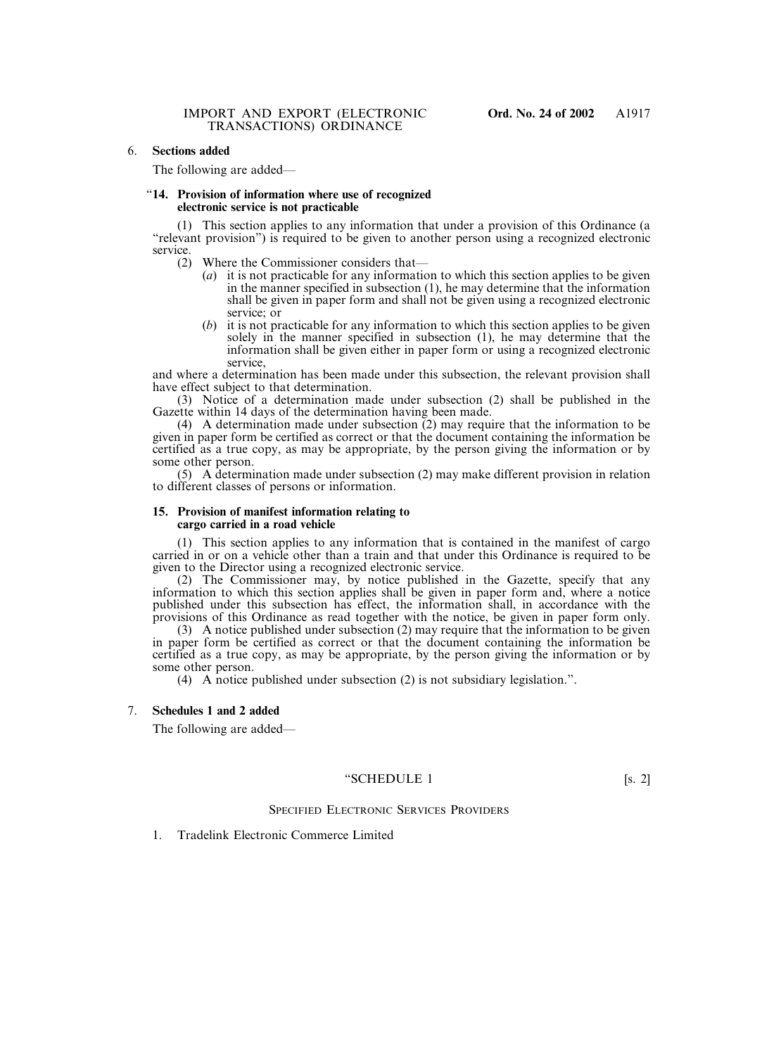# 6. **Sections added**

The following are added—

#### "**14. Provision of information where use of recognized electronic service is not practicable**

(1) This section applies to any information that under a provision of this Ordinance (a "relevant provision") is required to be given to another person using a recognized electronic service.

- (2) Where the Commissioner considers that—
	- (*a*) it is not practicable for any information to which this section applies to be given in the manner specified in subsection (1), he may determine that the information shall be given in paper form and shall not be given using a recognized electronic service; or
	- (*b*) it is not practicable for any information to which this section applies to be given solely in the manner specified in subsection (1), he may determine that the information shall be given either in paper form or using a recognized electronic service,

and where a determination has been made under this subsection, the relevant provision shall have effect subject to that determination.

(3) Notice of a determination made under subsection (2) shall be published in the Gazette within 14 days of the determination having been made.

(4) A determination made under subsection (2) may require that the information to be given in paper form be certified as correct or that the document containing the information be certified as a true copy, as may be appropriate, by the person giving the information or by some other person.

(5) A determination made under subsection (2) may make different provision in relation to different classes of persons or information.

#### **15. Provision of manifest information relating to cargo carried in a road vehicle**

(1) This section applies to any information that is contained in the manifest of cargo carried in or on a vehicle other than a train and that under this Ordinance is required to be given to the Director using a recognized electronic service.

(2) The Commissioner may, by notice published in the Gazette, specify that any information to which this section applies shall be given in paper form and, where a notice published under this subsection has effect, the information shall, in accordance with the provisions of this Ordinance as read together with the notice, be given in paper form only.

(3) A notice published under subsection (2) may require that the information to be given in paper form be certified as correct or that the document containing the information be certified as a true copy, as may be appropriate, by the person giving the information or by some other person.

(4) A notice published under subsection (2) is not subsidiary legislation.".

# 7. **Schedules 1 and 2 added**

The following are added—

## "SCHEDULE 1 [s. 2]

## SPECIFIED ELECTRONIC SERVICES PROVIDERS

## 1. Tradelink Electronic Commerce Limited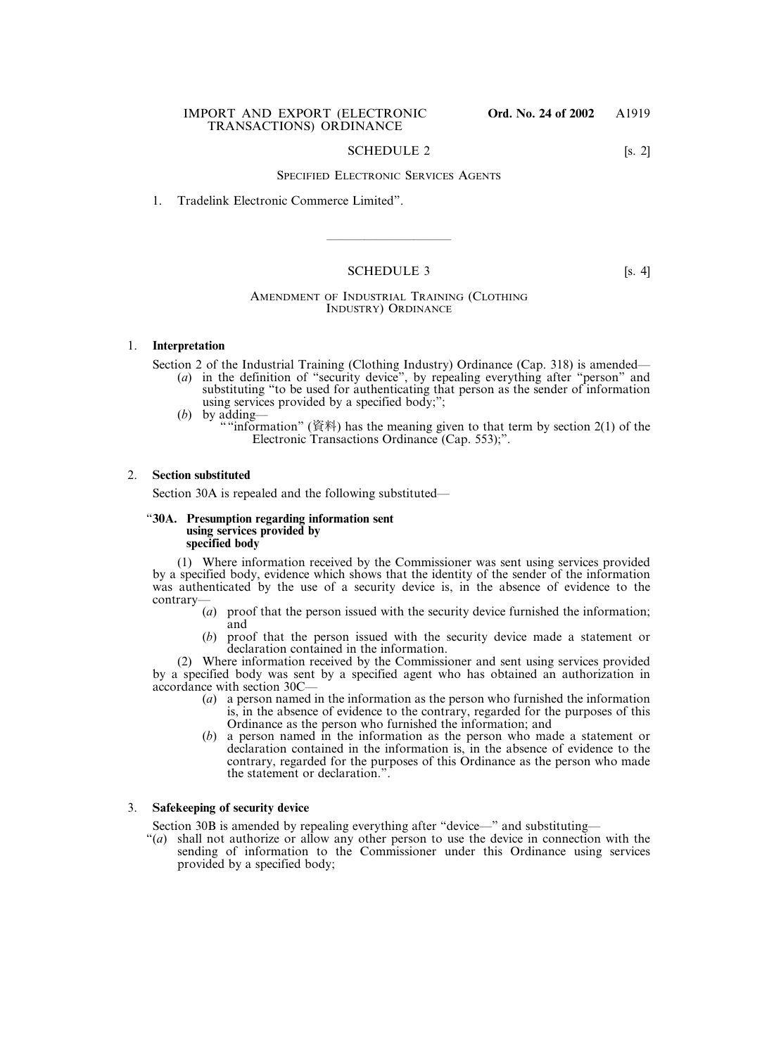# SCHEDULE 2 [s. 2]

# SPECIFIED ELECTRONIC SERVICES AGENTS

## 1. Tradelink Electronic Commerce Limited".

# SCHEDULE 3 [s. 4]

——————————

# AMENDMENT OF INDUSTRIAL TRAINING (CLOTHING INDUSTRY) ORDINANCE

## 1. **Interpretation**

Section 2 of the Industrial Training (Clothing Industry) Ordinance (Cap. 318) is amended—

- (*a*) in the definition of "security device", by repealing everything after "person" and substituting "to be used for authenticating that person as the sender of information using services provided by a specified body;";
- (*b*) by adding—
	- ""information" (資料) has the meaning given to that term by section 2(1) of the Electronic Transactions Ordinance (Cap. 553);".

### 2. **Section substituted**

Section 30A is repealed and the following substituted—

### "**30A. Presumption regarding information sent using services provided by specified body**

(1) Where information received by the Commissioner was sent using services provided by a specified body, evidence which shows that the identity of the sender of the information was authenticated by the use of a security device is, in the absence of evidence to the contrary—

- (*a*) proof that the person issued with the security device furnished the information; and
- (*b*) proof that the person issued with the security device made a statement or declaration contained in the information.

(2) Where information received by the Commissioner and sent using services provided by a specified body was sent by a specified agent who has obtained an authorization in accordance with section 30C—

- (*a*) a person named in the information as the person who furnished the information is, in the absence of evidence to the contrary, regarded for the purposes of this Ordinance as the person who furnished the information; and
- (*b*) a person named in the information as the person who made a statement or declaration contained in the information is, in the absence of evidence to the contrary, regarded for the purposes of this Ordinance as the person who made the statement or declaration.".

# 3. **Safekeeping of security device**

Section 30B is amended by repealing everything after "device—" and substituting—

"(*a*) shall not authorize or allow any other person to use the device in connection with the sending of information to the Commissioner under this Ordinance using services provided by a specified body;